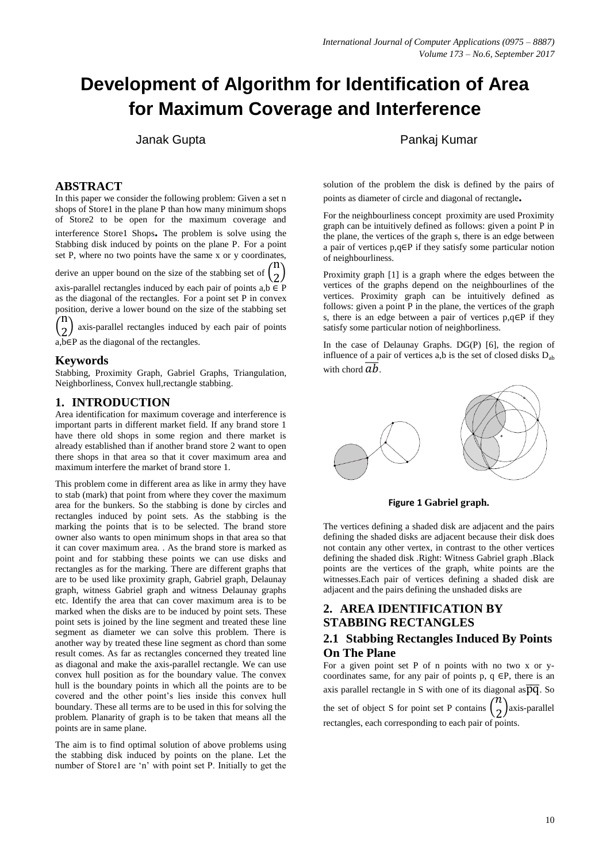# **Development of Algorithm for Identification of Area for Maximum Coverage and Interference**

 $\left( \right)$ 

## **ABSTRACT**

In this paper we consider the following problem: Given a set n shops of Store1 in the plane P than how many minimum shops of Store2 to be open for the maximum coverage and interference Store1 Shops**.** The problem is solve using the Stabbing disk induced by points on the plane P. For a point set P, where no two points have the same x or y coordinates,

derive an upper bound on the size of the stabbing set of  $($  $\overline{\overline{n}}$ 

derive an upper bound on the size of the stabbing set of  $\binom{2}{2}$ <br>axis-parallel rectangles induced by each pair of points a,b  $\in$  P as the diagonal of the rectangles. For a point set P in convex position, derive a lower bound on the size of the stabbing set  $(\mathbf{n})$ 

 $\overline{(}$  $\left(2\right)$  axis-parametriectangles induced<br>a,b∈P as the diagonal of the rectangles. axis-parallel rectangles induced by each pair of points

**Keywords**

Stabbing, Proximity Graph, Gabriel Graphs, Triangulation, Neighborliness, Convex hull,rectangle stabbing.

## **1. INTRODUCTION**

Area identification for maximum coverage and interference is important parts in different market field. If any brand store 1 have there old shops in some region and there market is already established than if another brand store 2 want to open there shops in that area so that it cover maximum area and maximum interfere the market of brand store 1.

This problem come in different area as like in army they have to stab (mark) that point from where they cover the maximum area for the bunkers. So the stabbing is done by circles and rectangles induced by point sets. As the stabbing is the marking the points that is to be selected. The brand store owner also wants to open minimum shops in that area so that it can cover maximum area. . As the brand store is marked as point and for stabbing these points we can use disks and rectangles as for the marking. There are different graphs that are to be used like proximity graph, Gabriel graph, Delaunay graph, witness Gabriel graph and witness Delaunay graphs etc. Identify the area that can cover maximum area is to be marked when the disks are to be induced by point sets. These point sets is joined by the line segment and treated these line segment as diameter we can solve this problem. There is another way by treated these line segment as chord than some result comes. As far as rectangles concerned they treated line as diagonal and make the axis-parallel rectangle. We can use convex hull position as for the boundary value. The convex hull is the boundary points in which all the points are to be covered and the other point's lies inside this convex hull boundary. These all terms are to be used in this for solving the problem. Planarity of graph is to be taken that means all the points are in same plane.

The aim is to find optimal solution of above problems using the stabbing disk induced by points on the plane. Let the number of Store1 are 'n' with point set P. Initially to get the

## Janak Gupta Pankaj Kumar

solution of the problem the disk is defined by the pairs of points as diameter of circle and diagonal of rectangle**.** 

For the neighbourliness concept proximity are used Proximity graph can be intuitively defined as follows: given a point P in the plane, the vertices of the graph s, there is an edge between a pair of vertices p,q∈P if they satisfy some particular notion of neighbourliness.

Proximity graph [1] is a graph where the edges between the vertices of the graphs depend on the neighbourlines of the vertices. Proximity graph can be intuitively defined as follows: given a point P in the plane, the vertices of the graph s, there is an edge between a pair of vertices p,q∈P if they satisfy some particular notion of neighborliness.

In the case of Delaunay Graphs. DG(P) [6], the region of influence of a pair of vertices a,b is the set of closed disks  $D_{ab}$ with chord  $\overline{ab}$ .



**Figure 1 Gabriel graph.**

The vertices defining a shaded disk are adjacent and the pairs defining the shaded disks are adjacent because their disk does not contain any other vertex, in contrast to the other vertices defining the shaded disk .Right: Witness Gabriel graph .Black points are the vertices of the graph, white points are the witnesses.Each pair of vertices defining a shaded disk are adjacent and the pairs defining the unshaded disks are

## **2. AREA IDENTIFICATION BY STABBING RECTANGLES 2.1 Stabbing Rectangles Induced By Points**

# **On The Plane**

For a given point set P of n points with no two x or ycoordinates same, for any pair of points p, q ∈P, there is an axis parallel rectangle in S with one of its diagonal as  $\overline{pq}$ . So the set of object S for point set P contains  $\begin{pmatrix} n \\ n \end{pmatrix}$  $\binom{n}{2}$ axis-parallel rectangles, each corresponding to each pair of points.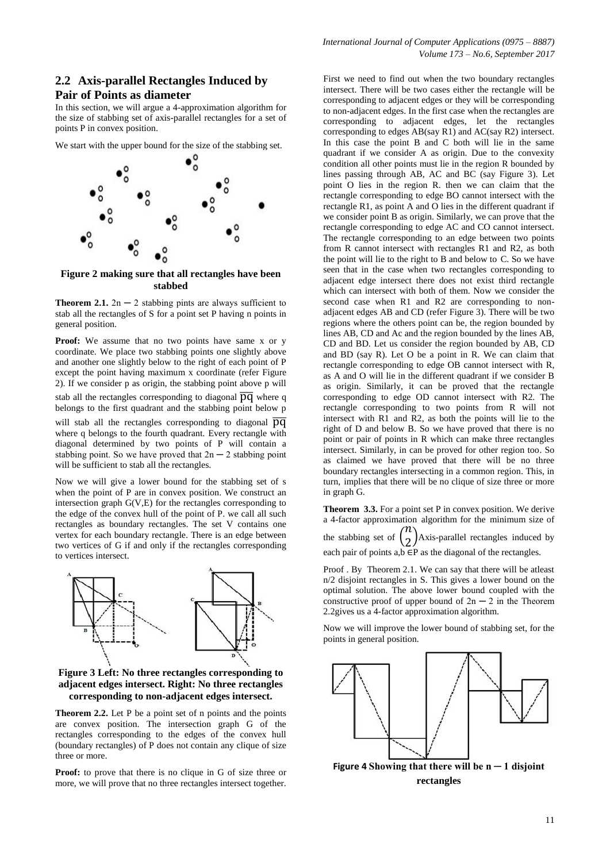#### **2.2 Axis-parallel Rectangles Induced by Pair of Points as diameter**

In this section, we will argue a 4-approximation algorithm for the size of stabbing set of axis-parallel rectangles for a set of points P in convex position.

We start with the upper bound for the size of the stabbing set.



**Figure 2 making sure that all rectangles have been stabbed**

**Theorem 2.1.**  $2n - 2$  stabbing pints are always sufficient to stab all the rectangles of S for a point set P having n points in general position.

Proof: We assume that no two points have same x or y coordinate. We place two stabbing points one slightly above and another one slightly below to the right of each point of P except the point having maximum x coordinate (refer Figure 2). If we consider p as origin, the stabbing point above p will

stab all the rectangles corresponding to diagonal  $\overline{pq}$  where q belongs to the first quadrant and the stabbing point below p

will stab all the rectangles corresponding to diagonal  $\overline{pq}$ where q belongs to the fourth quadrant. Every rectangle with diagonal determined by two points of P will contain a stabbing point. So we have proved that  $2n - 2$  stabbing point will be sufficient to stab all the rectangles.

Now we will give a lower bound for the stabbing set of s when the point of P are in convex position. We construct an intersection graph G(V,E) for the rectangles corresponding to the edge of the convex hull of the point of P. we call all such rectangles as boundary rectangles. The set V contains one vertex for each boundary rectangle. There is an edge between two vertices of G if and only if the rectangles corresponding to vertices intersect.



**Figure 3 Left: No three rectangles corresponding to adjacent edges intersect. Right: No three rectangles corresponding to non-adjacent edges intersect.**

**Theorem 2.2.** Let P be a point set of n points and the points are convex position. The intersection graph G of the rectangles corresponding to the edges of the convex hull (boundary rectangles) of P does not contain any clique of size three or more.

**Proof:** to prove that there is no clique in G of size three or more, we will prove that no three rectangles intersect together. First we need to find out when the two boundary rectangles intersect. There will be two cases either the rectangle will be corresponding to adjacent edges or they will be corresponding to non-adjacent edges. In the first case when the rectangles are corresponding to adjacent edges, let the rectangles corresponding to edges AB(say R1) and AC(say R2) intersect. In this case the point B and C both will lie in the same quadrant if we consider A as origin. Due to the convexity condition all other points must lie in the region R bounded by lines passing through AB, AC and BC (say Figure 3). Let point O lies in the region R. then we can claim that the rectangle corresponding to edge BO cannot intersect with the rectangle R1, as point A and O lies in the different quadrant if we consider point B as origin. Similarly, we can prove that the rectangle corresponding to edge AC and CO cannot intersect. The rectangle corresponding to an edge between two points from R cannot intersect with rectangles R1 and R2, as both the point will lie to the right to B and below to C. So we have seen that in the case when two rectangles corresponding to adjacent edge intersect there does not exist third rectangle which can intersect with both of them. Now we consider the second case when R1 and R2 are corresponding to nonadjacent edges AB and CD (refer Figure 3). There will be two regions where the others point can be, the region bounded by lines AB, CD and Ac and the region bounded by the lines AB, CD and BD. Let us consider the region bounded by AB, CD and BD (say R). Let O be a point in R. We can claim that rectangle corresponding to edge OB cannot intersect with R, as A and O will lie in the different quadrant if we consider B as origin. Similarly, it can be proved that the rectangle corresponding to edge OD cannot intersect with R2. The rectangle corresponding to two points from R will not intersect with R1 and R2, as both the points will lie to the right of D and below B. So we have proved that there is no point or pair of points in R which can make three rectangles intersect. Similarly, in can be proved for other region too. So as claimed we have proved that there will be no three boundary rectangles intersecting in a common region. This, in turn, implies that there will be no clique of size three or more in graph G.

**Theorem 3.3.** For a point set P in convex position. We derive a 4-factor approximation algorithm for the minimum size of the stabbing set of  $\binom{n}{2}$  $\binom{n}{2}$ Axis-parallel rectangles induced by each pair of points  $a,b \in P$  as the diagonal of the rectangles.

Proof . By Theorem 2.1. We can say that there will be atleast n/2 disjoint rectangles in S. This gives a lower bound on the optimal solution. The above lower bound coupled with the constructive proof of upper bound of  $2n - 2$  in the Theorem 2.2gives us a 4-factor approximation algorithm.

Now we will improve the lower bound of stabbing set, for the points in general position.



**Figure 4** Showing that there will be  $n - 1$  disjoint **rectangles**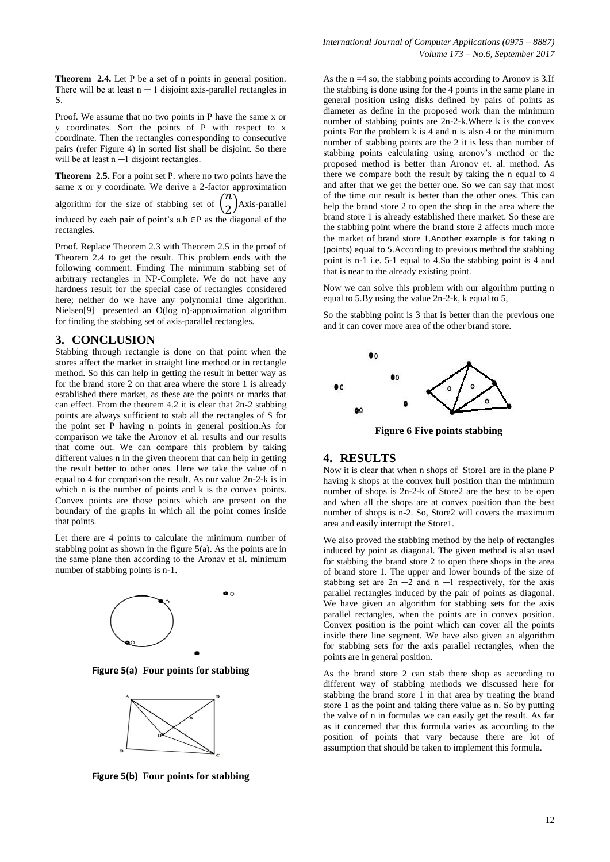**Theorem 2.4.** Let P be a set of n points in general position. There will be at least  $n - 1$  disjoint axis-parallel rectangles in S.

Proof. We assume that no two points in P have the same x or y coordinates. Sort the points of P with respect to x coordinate. Then the rectangles corresponding to consecutive pairs (refer Figure 4) in sorted list shall be disjoint. So there will be at least  $n - 1$  disjoint rectangles.

**Theorem 2.5.** For a point set P. where no two points have the same x or y coordinate. We derive a 2-factor approximation algorithm for the size of stabbing set of  $\binom{n}{2}$  $\binom{n}{2}$ Axis-parallel induced by each pair of point's a.b  $\in$ P as the diagonal of the rectangles.

Proof. Replace Theorem 2.3 with Theorem 2.5 in the proof of Theorem 2.4 to get the result. This problem ends with the following comment. Finding The minimum stabbing set of arbitrary rectangles in NP-Complete. We do not have any hardness result for the special case of rectangles considered here; neither do we have any polynomial time algorithm. Nielsen[9] presented an O(log n)-approximation algorithm for finding the stabbing set of axis-parallel rectangles.

#### **3. CONCLUSION**

Stabbing through rectangle is done on that point when the stores affect the market in straight line method or in rectangle method. So this can help in getting the result in better way as for the brand store 2 on that area where the store 1 is already established there market, as these are the points or marks that can effect. From the theorem 4.2 it is clear that 2n-2 stabbing points are always sufficient to stab all the rectangles of S for the point set P having n points in general position.As for comparison we take the Aronov et al. results and our results that come out. We can compare this problem by taking different values n in the given theorem that can help in getting the result better to other ones. Here we take the value of n equal to 4 for comparison the result. As our value 2n-2-k is in which n is the number of points and k is the convex points. Convex points are those points which are present on the boundary of the graphs in which all the point comes inside that points.

Let there are 4 points to calculate the minimum number of stabbing point as shown in the figure  $5(a)$ . As the points are in the same plane then according to the Aronav et al. minimum number of stabbing points is n-1.



**Figure 5(a) Four points for stabbing**



**Figure 5(b) Four points for stabbing**

As the  $n = 4$  so, the stabbing points according to Aronov is 3.If the stabbing is done using for the 4 points in the same plane in general position using disks defined by pairs of points as diameter as define in the proposed work than the minimum number of stabbing points are 2n-2-k.Where k is the convex points For the problem k is 4 and n is also 4 or the minimum number of stabbing points are the 2 it is less than number of stabbing points calculating using aronov's method or the proposed method is better than Aronov et. al. method. As there we compare both the result by taking the n equal to 4 and after that we get the better one. So we can say that most of the time our result is better than the other ones. This can help the brand store 2 to open the shop in the area where the brand store 1 is already established there market. So these are the stabbing point where the brand store 2 affects much more the market of brand store 1.Another example is for taking n (points) equal to 5.According to previous method the stabbing point is n-1 i.e. 5-1 equal to 4.So the stabbing point is 4 and that is near to the already existing point.

Now we can solve this problem with our algorithm putting n equal to 5.By using the value 2n-2-k, k equal to 5,

So the stabbing point is 3 that is better than the previous one and it can cover more area of the other brand store.



**Figure 6 Five points stabbing**

#### **4. RESULTS**

Now it is clear that when n shops of Store1 are in the plane P having k shops at the convex hull position than the minimum number of shops is 2n-2-k of Store2 are the best to be open and when all the shops are at convex position than the best number of shops is n-2. So, Store2 will covers the maximum area and easily interrupt the Store1.

We also proved the stabbing method by the help of rectangles induced by point as diagonal. The given method is also used for stabbing the brand store 2 to open there shops in the area of brand store 1. The upper and lower bounds of the size of stabbing set are  $2n - 2$  and  $n - 1$  respectively, for the axis parallel rectangles induced by the pair of points as diagonal. We have given an algorithm for stabbing sets for the axis parallel rectangles, when the points are in convex position. Convex position is the point which can cover all the points inside there line segment. We have also given an algorithm for stabbing sets for the axis parallel rectangles, when the points are in general position.

As the brand store 2 can stab there shop as according to different way of stabbing methods we discussed here for stabbing the brand store 1 in that area by treating the brand store 1 as the point and taking there value as n. So by putting the valve of n in formulas we can easily get the result. As far as it concerned that this formula varies as according to the position of points that vary because there are lot of assumption that should be taken to implement this formula.